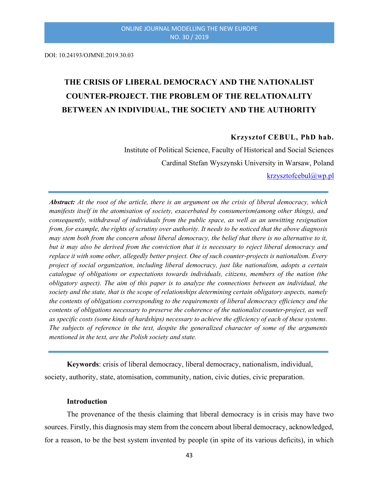DOI: 10.24193/OJMNE.2019.30.03

# THE CRISIS OF LIBERAL DEMOCRACY AND THE NATIONALIST COUNTER-PROJECT. THE PROBLEM OF THE RELATIONALITY BETWEEN AN INDIVIDUAL, THE SOCIETY AND THE AUTHORITY

#### Krzysztof CEBUL, PhD hab.

Institute of Political Science, Faculty of Historical and Social Sciences Cardinal Stefan Wyszynski University in Warsaw, Poland

krzysztofcebul@wp.pl

Abstract: At the root of the article, there is an argument on the crisis of liberal democracy, which manifests itself in the atomisation of society, exacerbated by consumerism(among other things), and consequently, withdrawal of individuals from the public space, as well as an unwitting resignation from, for example, the rights of scrutiny over authority. It needs to be noticed that the above diagnosis may stem both from the concern about liberal democracy, the belief that there is no alternative to it, but it may also be derived from the conviction that it is necessary to reject liberal democracy and replace it with some other, allegedly better project. One of such counter-projects is nationalism. Every project of social organization, including liberal democracy, just like nationalism, adopts a certain catalogue of obligations or expectations towards individuals, citizens, members of the nation (the obligatory aspect). The aim of this paper is to analyze the connections between an individual, the society and the state, that is the scope of relationships determining certain obligatory aspects, namely the contents of obligations corresponding to the requirements of liberal democracy efficiency and the contents of obligations necessary to preserve the coherence of the nationalist counter-project, as well as specific costs (some kinds of hardships) necessary to achieve the efficiency of each of these systems. The subjects of reference in the text, despite the generalized character of some of the arguments mentioned in the text, are the Polish society and state.

Keywords: crisis of liberal democracy, liberal democracy, nationalism, individual, society, authority, state, atomisation, community, nation, civic duties, civic preparation.

#### Introduction

The provenance of the thesis claiming that liberal democracy is in crisis may have two sources. Firstly, this diagnosis may stem from the concern about liberal democracy, acknowledged, for a reason, to be the best system invented by people (in spite of its various deficits), in which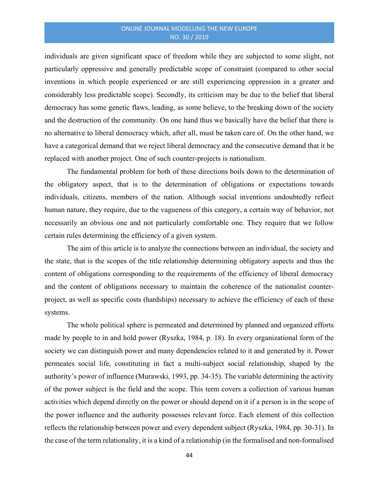individuals are given significant space of freedom while they are subjected to some slight, not particularly oppressive and generally predictable scope of constraint (compared to other social inventions in which people experienced or are still experiencing oppression in a greater and considerably less predictable scope). Secondly, its criticism may be due to the belief that liberal democracy has some genetic flaws, leading, as some believe, to the breaking down of the society and the destruction of the community. On one hand thus we basically have the belief that there is no alternative to liberal democracy which, after all, must be taken care of. On the other hand, we have a categorical demand that we reject liberal democracy and the consecutive demand that it be replaced with another project. One of such counter-projects is nationalism.

The fundamental problem for both of these directions boils down to the determination of the obligatory aspect, that is to the determination of obligations or expectations towards individuals, citizens, members of the nation. Although social inventions undoubtedly reflect human nature, they require, due to the vagueness of this category, a certain way of behavior, not necessarily an obvious one and not particularly comfortable one. They require that we follow certain rules determining the efficiency of a given system.

The aim of this article is to analyze the connections between an individual, the society and the state, that is the scopes of the title relationship determining obligatory aspects and thus the content of obligations corresponding to the requirements of the efficiency of liberal democracy and the content of obligations necessary to maintain the coherence of the nationalist counterproject, as well as specific costs (hardships) necessary to achieve the efficiency of each of these systems.

The whole political sphere is permeated and determined by planned and organized efforts made by people to in and hold power (Ryszka, 1984, p. 18). In every organizational form of the society we can distinguish power and many dependencies related to it and generated by it. Power permeates social life, constituting in fact a multi-subject social relationship, shaped by the authority's power of influence (Murawski, 1993, pp. 34-35). The variable determining the activity of the power subject is the field and the scope. This term covers a collection of various human activities which depend directly on the power or should depend on it if a person is in the scope of the power influence and the authority possesses relevant force. Each element of this collection reflects the relationship between power and every dependent subject (Ryszka, 1984, pp. 30-31). In the case of the term relationality, it is a kind of a relationship (in the formalised and non-formalised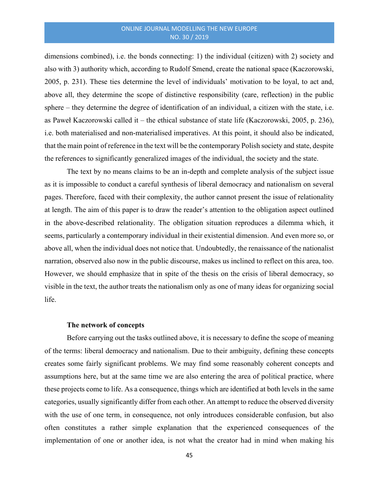dimensions combined), i.e. the bonds connecting: 1) the individual (citizen) with 2) society and also with 3) authority which, according to Rudolf Smend, create the national space (Kaczorowski, 2005, p. 231). These ties determine the level of individuals' motivation to be loyal, to act and, above all, they determine the scope of distinctive responsibility (care, reflection) in the public sphere – they determine the degree of identification of an individual, a citizen with the state, i.e. as Paweł Kaczorowski called it – the ethical substance of state life (Kaczorowski, 2005, p. 236), i.e. both materialised and non-materialised imperatives. At this point, it should also be indicated, that the main point of reference in the text will be the contemporary Polish society and state, despite the references to significantly generalized images of the individual, the society and the state.

The text by no means claims to be an in-depth and complete analysis of the subject issue as it is impossible to conduct a careful synthesis of liberal democracy and nationalism on several pages. Therefore, faced with their complexity, the author cannot present the issue of relationality at length. The aim of this paper is to draw the reader's attention to the obligation aspect outlined in the above-described relationality. The obligation situation reproduces a dilemma which, it seems, particularly a contemporary individual in their existential dimension. And even more so, or above all, when the individual does not notice that. Undoubtedly, the renaissance of the nationalist narration, observed also now in the public discourse, makes us inclined to reflect on this area, too. However, we should emphasize that in spite of the thesis on the crisis of liberal democracy, so visible in the text, the author treats the nationalism only as one of many ideas for organizing social life.

#### The network of concepts

Before carrying out the tasks outlined above, it is necessary to define the scope of meaning of the terms: liberal democracy and nationalism. Due to their ambiguity, defining these concepts creates some fairly significant problems. We may find some reasonably coherent concepts and assumptions here, but at the same time we are also entering the area of political practice, where these projects come to life. As a consequence, things which are identified at both levels in the same categories, usually significantly differ from each other. An attempt to reduce the observed diversity with the use of one term, in consequence, not only introduces considerable confusion, but also often constitutes a rather simple explanation that the experienced consequences of the implementation of one or another idea, is not what the creator had in mind when making his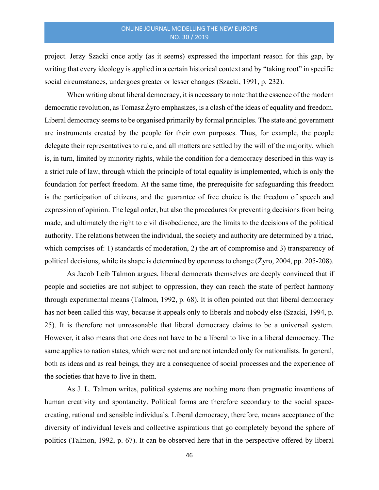project. Jerzy Szacki once aptly (as it seems) expressed the important reason for this gap, by writing that every ideology is applied in a certain historical context and by "taking root" in specific social circumstances, undergoes greater or lesser changes (Szacki, 1991, p. 232).

When writing about liberal democracy, it is necessary to note that the essence of the modern democratic revolution, as Tomasz Żyro emphasizes, is a clash of the ideas of equality and freedom. Liberal democracy seems to be organised primarily by formal principles. The state and government are instruments created by the people for their own purposes. Thus, for example, the people delegate their representatives to rule, and all matters are settled by the will of the majority, which is, in turn, limited by minority rights, while the condition for a democracy described in this way is a strict rule of law, through which the principle of total equality is implemented, which is only the foundation for perfect freedom. At the same time, the prerequisite for safeguarding this freedom is the participation of citizens, and the guarantee of free choice is the freedom of speech and expression of opinion. The legal order, but also the procedures for preventing decisions from being made, and ultimately the right to civil disobedience, are the limits to the decisions of the political authority. The relations between the individual, the society and authority are determined by a triad, which comprises of: 1) standards of moderation, 2) the art of compromise and 3) transparency of political decisions, while its shape is determined by openness to change (Żyro, 2004, pp. 205-208).

As Jacob Leib Talmon argues, liberal democrats themselves are deeply convinced that if people and societies are not subject to oppression, they can reach the state of perfect harmony through experimental means (Talmon, 1992, p. 68). It is often pointed out that liberal democracy has not been called this way, because it appeals only to liberals and nobody else (Szacki, 1994, p. 25). It is therefore not unreasonable that liberal democracy claims to be a universal system. However, it also means that one does not have to be a liberal to live in a liberal democracy. The same applies to nation states, which were not and are not intended only for nationalists. In general, both as ideas and as real beings, they are a consequence of social processes and the experience of the societies that have to live in them.

As J. L. Talmon writes, political systems are nothing more than pragmatic inventions of human creativity and spontaneity. Political forms are therefore secondary to the social spacecreating, rational and sensible individuals. Liberal democracy, therefore, means acceptance of the diversity of individual levels and collective aspirations that go completely beyond the sphere of politics (Talmon, 1992, p. 67). It can be observed here that in the perspective offered by liberal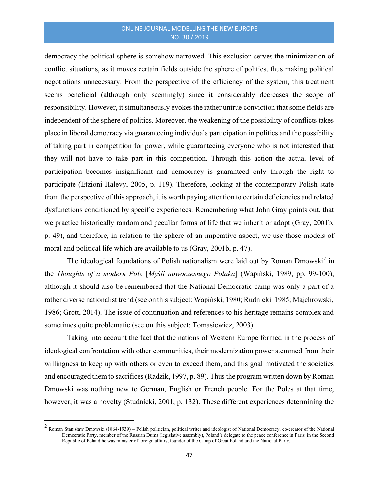democracy the political sphere is somehow narrowed. This exclusion serves the minimization of conflict situations, as it moves certain fields outside the sphere of politics, thus making political negotiations unnecessary. From the perspective of the efficiency of the system, this treatment seems beneficial (although only seemingly) since it considerably decreases the scope of responsibility. However, it simultaneously evokes the rather untrue conviction that some fields are independent of the sphere of politics. Moreover, the weakening of the possibility of conflicts takes place in liberal democracy via guaranteeing individuals participation in politics and the possibility of taking part in competition for power, while guaranteeing everyone who is not interested that they will not have to take part in this competition. Through this action the actual level of participation becomes insignificant and democracy is guaranteed only through the right to participate (Etzioni-Halevy, 2005, p. 119). Therefore, looking at the contemporary Polish state from the perspective of this approach, it is worth paying attention to certain deficiencies and related dysfunctions conditioned by specific experiences. Remembering what John Gray points out, that we practice historically random and peculiar forms of life that we inherit or adopt (Gray, 2001b, p. 49), and therefore, in relation to the sphere of an imperative aspect, we use those models of moral and political life which are available to us (Gray, 2001b, p. 47).

The ideological foundations of Polish nationalism were laid out by Roman Dmowski<sup>2</sup> in the Thoughts of a modern Pole [Myśli nowoczesnego Polaka] (Wapiński, 1989, pp. 99-100), although it should also be remembered that the National Democratic camp was only a part of a rather diverse nationalist trend (see on this subject: Wapiński, 1980; Rudnicki, 1985; Majchrowski, 1986; Grott, 2014). The issue of continuation and references to his heritage remains complex and sometimes quite problematic (see on this subject: Tomasiewicz, 2003).

Taking into account the fact that the nations of Western Europe formed in the process of ideological confrontation with other communities, their modernization power stemmed from their willingness to keep up with others or even to exceed them, and this goal motivated the societies and encouraged them to sacrifices (Radzik, 1997, p. 89). Thus the program written down by Roman Dmowski was nothing new to German, English or French people. For the Poles at that time, however, it was a novelty (Studnicki, 2001, p. 132). These different experiences determining the

 $2$  Roman Stanisław Dmowski (1864-1939) – Polish politician, political writer and ideologist of National Democracy, co-creator of the National Democratic Party, member of the Russian Duma (legislative assembly), Poland's delegate to the peace conference in Paris, in the Second Republic of Poland he was minister of foreign affairs, founder of the Camp of Great Poland and the National Party.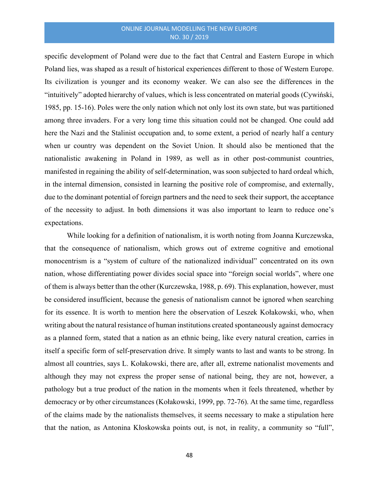specific development of Poland were due to the fact that Central and Eastern Europe in which Poland lies, was shaped as a result of historical experiences different to those of Western Europe. Its civilization is younger and its economy weaker. We can also see the differences in the "intuitively" adopted hierarchy of values, which is less concentrated on material goods (Cywiński, 1985, pp. 15-16). Poles were the only nation which not only lost its own state, but was partitioned among three invaders. For a very long time this situation could not be changed. One could add here the Nazi and the Stalinist occupation and, to some extent, a period of nearly half a century when ur country was dependent on the Soviet Union. It should also be mentioned that the nationalistic awakening in Poland in 1989, as well as in other post-communist countries, manifested in regaining the ability of self-determination, was soon subjected to hard ordeal which, in the internal dimension, consisted in learning the positive role of compromise, and externally, due to the dominant potential of foreign partners and the need to seek their support, the acceptance of the necessity to adjust. In both dimensions it was also important to learn to reduce one's expectations.

While looking for a definition of nationalism, it is worth noting from Joanna Kurczewska, that the consequence of nationalism, which grows out of extreme cognitive and emotional monocentrism is a "system of culture of the nationalized individual" concentrated on its own nation, whose differentiating power divides social space into "foreign social worlds", where one of them is always better than the other (Kurczewska, 1988, p. 69). This explanation, however, must be considered insufficient, because the genesis of nationalism cannot be ignored when searching for its essence. It is worth to mention here the observation of Leszek Kołakowski, who, when writing about the natural resistance of human institutions created spontaneously against democracy as a planned form, stated that a nation as an ethnic being, like every natural creation, carries in itself a specific form of self-preservation drive. It simply wants to last and wants to be strong. In almost all countries, says L. Kołakowski, there are, after all, extreme nationalist movements and although they may not express the proper sense of national being, they are not, however, a pathology but a true product of the nation in the moments when it feels threatened, whether by democracy or by other circumstances (Kołakowski, 1999, pp. 72-76). At the same time, regardless of the claims made by the nationalists themselves, it seems necessary to make a stipulation here that the nation, as Antonina Kłoskowska points out, is not, in reality, a community so "full",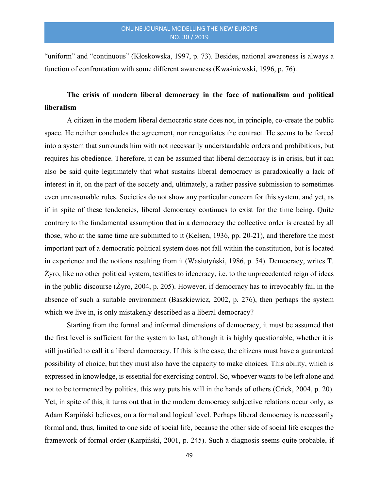"uniform" and "continuous" (Kłoskowska, 1997, p. 73). Besides, national awareness is always a function of confrontation with some different awareness (Kwaśniewski, 1996, p. 76).

# The crisis of modern liberal democracy in the face of nationalism and political liberalism

A citizen in the modern liberal democratic state does not, in principle, co-create the public space. He neither concludes the agreement, nor renegotiates the contract. He seems to be forced into a system that surrounds him with not necessarily understandable orders and prohibitions, but requires his obedience. Therefore, it can be assumed that liberal democracy is in crisis, but it can also be said quite legitimately that what sustains liberal democracy is paradoxically a lack of interest in it, on the part of the society and, ultimately, a rather passive submission to sometimes even unreasonable rules. Societies do not show any particular concern for this system, and yet, as if in spite of these tendencies, liberal democracy continues to exist for the time being. Quite contrary to the fundamental assumption that in a democracy the collective order is created by all those, who at the same time are submitted to it (Kelsen, 1936, pp. 20-21), and therefore the most important part of a democratic political system does not fall within the constitution, but is located in experience and the notions resulting from it (Wasiutyński, 1986, p. 54). Democracy, writes T. Żyro, like no other political system, testifies to ideocracy, i.e. to the unprecedented reign of ideas in the public discourse (Żyro, 2004, p. 205). However, if democracy has to irrevocably fail in the absence of such a suitable environment (Baszkiewicz, 2002, p. 276), then perhaps the system which we live in, is only mistakenly described as a liberal democracy?

Starting from the formal and informal dimensions of democracy, it must be assumed that the first level is sufficient for the system to last, although it is highly questionable, whether it is still justified to call it a liberal democracy. If this is the case, the citizens must have a guaranteed possibility of choice, but they must also have the capacity to make choices. This ability, which is expressed in knowledge, is essential for exercising control. So, whoever wants to be left alone and not to be tormented by politics, this way puts his will in the hands of others (Crick, 2004, p. 20). Yet, in spite of this, it turns out that in the modern democracy subjective relations occur only, as Adam Karpiński believes, on a formal and logical level. Perhaps liberal democracy is necessarily formal and, thus, limited to one side of social life, because the other side of social life escapes the framework of formal order (Karpiński, 2001, p. 245). Such a diagnosis seems quite probable, if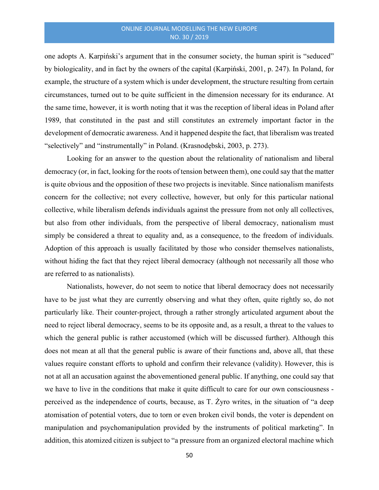one adopts A. Karpiński's argument that in the consumer society, the human spirit is "seduced" by biologicality, and in fact by the owners of the capital (Karpiński, 2001, p. 247). In Poland, for example, the structure of a system which is under development, the structure resulting from certain circumstances, turned out to be quite sufficient in the dimension necessary for its endurance. At the same time, however, it is worth noting that it was the reception of liberal ideas in Poland after 1989, that constituted in the past and still constitutes an extremely important factor in the development of democratic awareness. And it happened despite the fact, that liberalism was treated "selectively" and "instrumentally" in Poland. (Krasnodębski, 2003, p. 273).

Looking for an answer to the question about the relationality of nationalism and liberal democracy (or, in fact, looking for the roots of tension between them), one could say that the matter is quite obvious and the opposition of these two projects is inevitable. Since nationalism manifests concern for the collective; not every collective, however, but only for this particular national collective, while liberalism defends individuals against the pressure from not only all collectives, but also from other individuals, from the perspective of liberal democracy, nationalism must simply be considered a threat to equality and, as a consequence, to the freedom of individuals. Adoption of this approach is usually facilitated by those who consider themselves nationalists, without hiding the fact that they reject liberal democracy (although not necessarily all those who are referred to as nationalists).

Nationalists, however, do not seem to notice that liberal democracy does not necessarily have to be just what they are currently observing and what they often, quite rightly so, do not particularly like. Their counter-project, through a rather strongly articulated argument about the need to reject liberal democracy, seems to be its opposite and, as a result, a threat to the values to which the general public is rather accustomed (which will be discussed further). Although this does not mean at all that the general public is aware of their functions and, above all, that these values require constant efforts to uphold and confirm their relevance (validity). However, this is not at all an accusation against the abovementioned general public. If anything, one could say that we have to live in the conditions that make it quite difficult to care for our own consciousness perceived as the independence of courts, because, as T. Żyro writes, in the situation of "a deep atomisation of potential voters, due to torn or even broken civil bonds, the voter is dependent on manipulation and psychomanipulation provided by the instruments of political marketing". In addition, this atomized citizen is subject to "a pressure from an organized electoral machine which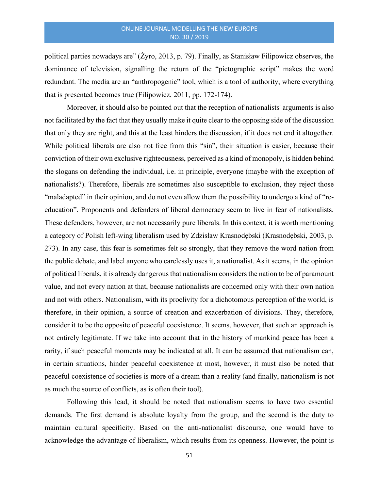political parties nowadays are" (Żyro, 2013, p. 79). Finally, as Stanisław Filipowicz observes, the dominance of television, signalling the return of the "pictographic script" makes the word redundant. The media are an "anthropogenic" tool, which is a tool of authority, where everything that is presented becomes true (Filipowicz, 2011, pp. 172-174).

Moreover, it should also be pointed out that the reception of nationalists' arguments is also not facilitated by the fact that they usually make it quite clear to the opposing side of the discussion that only they are right, and this at the least hinders the discussion, if it does not end it altogether. While political liberals are also not free from this "sin", their situation is easier, because their conviction of their own exclusive righteousness, perceived as a kind of monopoly, is hidden behind the slogans on defending the individual, i.e. in principle, everyone (maybe with the exception of nationalists?). Therefore, liberals are sometimes also susceptible to exclusion, they reject those "maladapted" in their opinion, and do not even allow them the possibility to undergo a kind of "reeducation". Proponents and defenders of liberal democracy seem to live in fear of nationalists. These defenders, however, are not necessarily pure liberals. In this context, it is worth mentioning a category of Polish left-wing liberalism used by Zdzisław Krasnodębski (Krasnodębski, 2003, p. 273). In any case, this fear is sometimes felt so strongly, that they remove the word nation from the public debate, and label anyone who carelessly uses it, a nationalist. As it seems, in the opinion of political liberals, it is already dangerous that nationalism considers the nation to be of paramount value, and not every nation at that, because nationalists are concerned only with their own nation and not with others. Nationalism, with its proclivity for a dichotomous perception of the world, is therefore, in their opinion, a source of creation and exacerbation of divisions. They, therefore, consider it to be the opposite of peaceful coexistence. It seems, however, that such an approach is not entirely legitimate. If we take into account that in the history of mankind peace has been a rarity, if such peaceful moments may be indicated at all. It can be assumed that nationalism can, in certain situations, hinder peaceful coexistence at most, however, it must also be noted that peaceful coexistence of societies is more of a dream than a reality (and finally, nationalism is not as much the source of conflicts, as is often their tool).

Following this lead, it should be noted that nationalism seems to have two essential demands. The first demand is absolute loyalty from the group, and the second is the duty to maintain cultural specificity. Based on the anti-nationalist discourse, one would have to acknowledge the advantage of liberalism, which results from its openness. However, the point is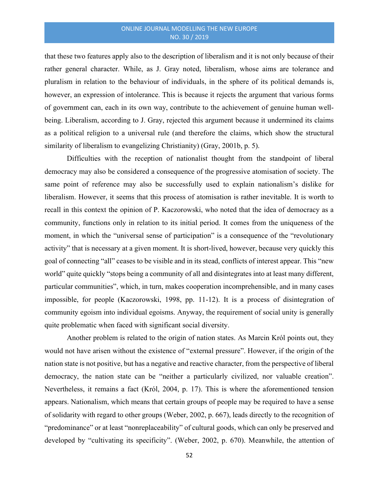that these two features apply also to the description of liberalism and it is not only because of their rather general character. While, as J. Gray noted, liberalism, whose aims are tolerance and pluralism in relation to the behaviour of individuals, in the sphere of its political demands is, however, an expression of intolerance. This is because it rejects the argument that various forms of government can, each in its own way, contribute to the achievement of genuine human wellbeing. Liberalism, according to J. Gray, rejected this argument because it undermined its claims as a political religion to a universal rule (and therefore the claims, which show the structural similarity of liberalism to evangelizing Christianity) (Gray, 2001b, p. 5).

Difficulties with the reception of nationalist thought from the standpoint of liberal democracy may also be considered a consequence of the progressive atomisation of society. The same point of reference may also be successfully used to explain nationalism's dislike for liberalism. However, it seems that this process of atomisation is rather inevitable. It is worth to recall in this context the opinion of P. Kaczorowski, who noted that the idea of democracy as a community, functions only in relation to its initial period. It comes from the uniqueness of the moment, in which the "universal sense of participation" is a consequence of the "revolutionary activity" that is necessary at a given moment. It is short-lived, however, because very quickly this goal of connecting "all" ceases to be visible and in its stead, conflicts of interest appear. This "new world" quite quickly "stops being a community of all and disintegrates into at least many different, particular communities", which, in turn, makes cooperation incomprehensible, and in many cases impossible, for people (Kaczorowski, 1998, pp. 11-12). It is a process of disintegration of community egoism into individual egoisms. Anyway, the requirement of social unity is generally quite problematic when faced with significant social diversity.

Another problem is related to the origin of nation states. As Marcin Król points out, they would not have arisen without the existence of "external pressure". However, if the origin of the nation state is not positive, but has a negative and reactive character, from the perspective of liberal democracy, the nation state can be "neither a particularly civilized, nor valuable creation". Nevertheless, it remains a fact (Król, 2004, p. 17). This is where the aforementioned tension appears. Nationalism, which means that certain groups of people may be required to have a sense of solidarity with regard to other groups (Weber, 2002, p. 667), leads directly to the recognition of "predominance" or at least "nonreplaceability" of cultural goods, which can only be preserved and developed by "cultivating its specificity". (Weber, 2002, p. 670). Meanwhile, the attention of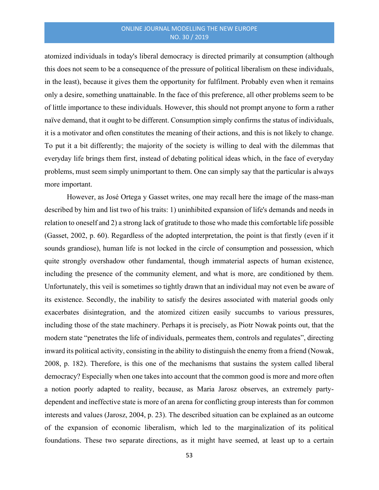atomized individuals in today's liberal democracy is directed primarily at consumption (although this does not seem to be a consequence of the pressure of political liberalism on these individuals, in the least), because it gives them the opportunity for fulfilment. Probably even when it remains only a desire, something unattainable. In the face of this preference, all other problems seem to be of little importance to these individuals. However, this should not prompt anyone to form a rather naïve demand, that it ought to be different. Consumption simply confirms the status of individuals, it is a motivator and often constitutes the meaning of their actions, and this is not likely to change. To put it a bit differently; the majority of the society is willing to deal with the dilemmas that everyday life brings them first, instead of debating political ideas which, in the face of everyday problems, must seem simply unimportant to them. One can simply say that the particular is always more important.

However, as José Ortega y Gasset writes, one may recall here the image of the mass-man described by him and list two of his traits: 1) uninhibited expansion of life's demands and needs in relation to oneself and 2) a strong lack of gratitude to those who made this comfortable life possible (Gasset, 2002, p. 60). Regardless of the adopted interpretation, the point is that firstly (even if it sounds grandiose), human life is not locked in the circle of consumption and possession, which quite strongly overshadow other fundamental, though immaterial aspects of human existence, including the presence of the community element, and what is more, are conditioned by them. Unfortunately, this veil is sometimes so tightly drawn that an individual may not even be aware of its existence. Secondly, the inability to satisfy the desires associated with material goods only exacerbates disintegration, and the atomized citizen easily succumbs to various pressures, including those of the state machinery. Perhaps it is precisely, as Piotr Nowak points out, that the modern state "penetrates the life of individuals, permeates them, controls and regulates", directing inward its political activity, consisting in the ability to distinguish the enemy from a friend (Nowak, 2008, p. 182). Therefore, is this one of the mechanisms that sustains the system called liberal democracy? Especially when one takes into account that the common good is more and more often a notion poorly adapted to reality, because, as Maria Jarosz observes, an extremely partydependent and ineffective state is more of an arena for conflicting group interests than for common interests and values (Jarosz, 2004, p. 23). The described situation can be explained as an outcome of the expansion of economic liberalism, which led to the marginalization of its political foundations. These two separate directions, as it might have seemed, at least up to a certain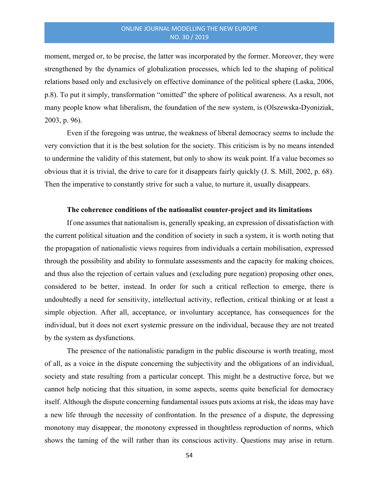moment, merged or, to be precise, the latter was incorporated by the former. Moreover, they were strengthened by the dynamics of globalization processes, which led to the shaping of political relations based only and exclusively on effective dominance of the political sphere (Laska, 2006, p.8). To put it simply, transformation "omitted" the sphere of political awareness. As a result, not many people know what liberalism, the foundation of the new system, is (Olszewska-Dyoniziak, 2003, p. 96).

Even if the foregoing was untrue, the weakness of liberal democracy seems to include the very conviction that it is the best solution for the society. This criticism is by no means intended to undermine the validity of this statement, but only to show its weak point. If a value becomes so obvious that it is trivial, the drive to care for it disappears fairly quickly (J. S. Mill, 2002, p. 68). Then the imperative to constantly strive for such a value, to nurture it, usually disappears.

#### The coherence conditions of the nationalist counter-project and its limitations

If one assumes that nationalism is, generally speaking, an expression of dissatisfaction with the current political situation and the condition of society in such a system, it is worth noting that the propagation of nationalistic views requires from individuals a certain mobilisation, expressed through the possibility and ability to formulate assessments and the capacity for making choices, and thus also the rejection of certain values and (excluding pure negation) proposing other ones, considered to be better, instead. In order for such a critical reflection to emerge, there is undoubtedly a need for sensitivity, intellectual activity, reflection, critical thinking or at least a simple objection. After all, acceptance, or involuntary acceptance, has consequences for the individual, but it does not exert systemic pressure on the individual, because they are not treated by the system as dysfunctions.

The presence of the nationalistic paradigm in the public discourse is worth treating, most of all, as a voice in the dispute concerning the subjectivity and the obligations of an individual, society and state resulting from a particular concept. This might be a destructive force, but we cannot help noticing that this situation, in some aspects, seems quite beneficial for democracy itself. Although the dispute concerning fundamental issues puts axioms at risk, the ideas may have a new life through the necessity of confrontation. In the presence of a dispute, the depressing monotony may disappear, the monotony expressed in thoughtless reproduction of norms, which shows the taming of the will rather than its conscious activity. Questions may arise in return.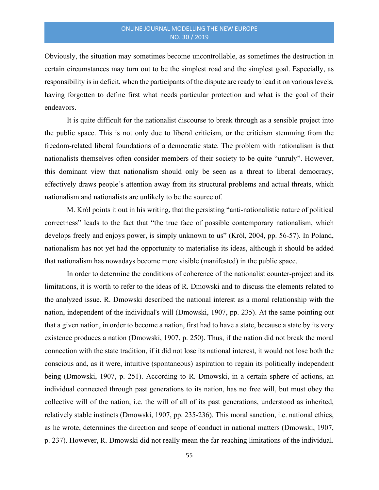Obviously, the situation may sometimes become uncontrollable, as sometimes the destruction in certain circumstances may turn out to be the simplest road and the simplest goal. Especially, as responsibility is in deficit, when the participants of the dispute are ready to lead it on various levels, having forgotten to define first what needs particular protection and what is the goal of their endeavors.

It is quite difficult for the nationalist discourse to break through as a sensible project into the public space. This is not only due to liberal criticism, or the criticism stemming from the freedom-related liberal foundations of a democratic state. The problem with nationalism is that nationalists themselves often consider members of their society to be quite "unruly". However, this dominant view that nationalism should only be seen as a threat to liberal democracy, effectively draws people's attention away from its structural problems and actual threats, which nationalism and nationalists are unlikely to be the source of.

M. Król points it out in his writing, that the persisting "anti-nationalistic nature of political correctness" leads to the fact that "the true face of possible contemporary nationalism, which develops freely and enjoys power, is simply unknown to us" (Król, 2004, pp. 56-57). In Poland, nationalism has not yet had the opportunity to materialise its ideas, although it should be added that nationalism has nowadays become more visible (manifested) in the public space.

In order to determine the conditions of coherence of the nationalist counter-project and its limitations, it is worth to refer to the ideas of R. Dmowski and to discuss the elements related to the analyzed issue. R. Dmowski described the national interest as a moral relationship with the nation, independent of the individual's will (Dmowski, 1907, pp. 235). At the same pointing out that a given nation, in order to become a nation, first had to have a state, because a state by its very existence produces a nation (Dmowski, 1907, p. 250). Thus, if the nation did not break the moral connection with the state tradition, if it did not lose its national interest, it would not lose both the conscious and, as it were, intuitive (spontaneous) aspiration to regain its politically independent being (Dmowski, 1907, p. 251). According to R. Dmowski, in a certain sphere of actions, an individual connected through past generations to its nation, has no free will, but must obey the collective will of the nation, i.e. the will of all of its past generations, understood as inherited, relatively stable instincts (Dmowski, 1907, pp. 235-236). This moral sanction, i.e. national ethics, as he wrote, determines the direction and scope of conduct in national matters (Dmowski, 1907, p. 237). However, R. Dmowski did not really mean the far-reaching limitations of the individual.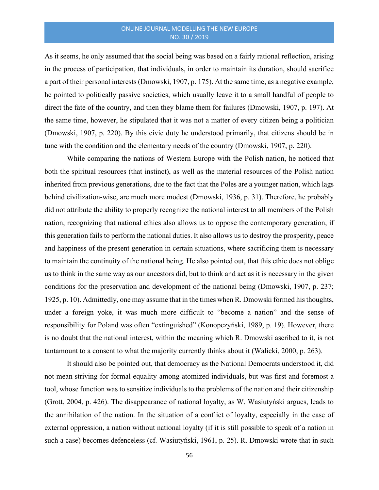As it seems, he only assumed that the social being was based on a fairly rational reflection, arising in the process of participation, that individuals, in order to maintain its duration, should sacrifice a part of their personal interests (Dmowski, 1907, p. 175). At the same time, as a negative example, he pointed to politically passive societies, which usually leave it to a small handful of people to direct the fate of the country, and then they blame them for failures (Dmowski, 1907, p. 197). At the same time, however, he stipulated that it was not a matter of every citizen being a politician (Dmowski, 1907, p. 220). By this civic duty he understood primarily, that citizens should be in tune with the condition and the elementary needs of the country (Dmowski, 1907, p. 220).

While comparing the nations of Western Europe with the Polish nation, he noticed that both the spiritual resources (that instinct), as well as the material resources of the Polish nation inherited from previous generations, due to the fact that the Poles are a younger nation, which lags behind civilization-wise, are much more modest (Dmowski, 1936, p. 31). Therefore, he probably did not attribute the ability to properly recognize the national interest to all members of the Polish nation, recognizing that national ethics also allows us to oppose the contemporary generation, if this generation fails to perform the national duties. It also allows us to destroy the prosperity, peace and happiness of the present generation in certain situations, where sacrificing them is necessary to maintain the continuity of the national being. He also pointed out, that this ethic does not oblige us to think in the same way as our ancestors did, but to think and act as it is necessary in the given conditions for the preservation and development of the national being (Dmowski, 1907, p. 237; 1925, p. 10). Admittedly, one may assume that in the times when R. Dmowski formed his thoughts, under a foreign yoke, it was much more difficult to "become a nation" and the sense of responsibility for Poland was often "extinguished" (Konopczyński, 1989, p. 19). However, there is no doubt that the national interest, within the meaning which R. Dmowski ascribed to it, is not tantamount to a consent to what the majority currently thinks about it (Walicki, 2000, p. 263).

It should also be pointed out, that democracy as the National Democrats understood it, did not mean striving for formal equality among atomized individuals, but was first and foremost a tool, whose function was to sensitize individuals to the problems of the nation and their citizenship (Grott, 2004, p. 426). The disappearance of national loyalty, as W. Wasiutyński argues, leads to the annihilation of the nation. In the situation of a conflict of loyalty, especially in the case of external oppression, a nation without national loyalty (if it is still possible to speak of a nation in such a case) becomes defenceless (cf. Wasiutyński, 1961, p. 25). R. Dmowski wrote that in such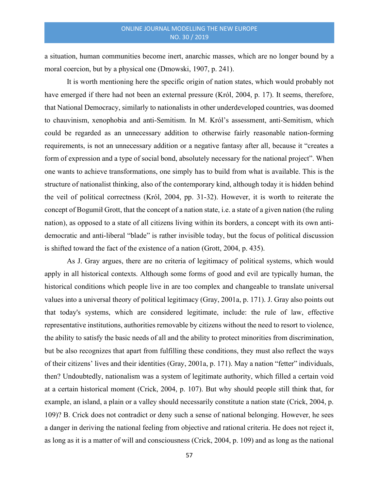a situation, human communities become inert, anarchic masses, which are no longer bound by a moral coercion, but by a physical one (Dmowski, 1907, p. 241).

It is worth mentioning here the specific origin of nation states, which would probably not have emerged if there had not been an external pressure (Król, 2004, p. 17). It seems, therefore, that National Democracy, similarly to nationalists in other underdeveloped countries, was doomed to chauvinism, xenophobia and anti-Semitism. In M. Król's assessment, anti-Semitism, which could be regarded as an unnecessary addition to otherwise fairly reasonable nation-forming requirements, is not an unnecessary addition or a negative fantasy after all, because it "creates a form of expression and a type of social bond, absolutely necessary for the national project". When one wants to achieve transformations, one simply has to build from what is available. This is the structure of nationalist thinking, also of the contemporary kind, although today it is hidden behind the veil of political correctness (Król, 2004, pp. 31-32). However, it is worth to reiterate the concept of Bogumił Grott, that the concept of a nation state, i.e. a state of a given nation (the ruling nation), as opposed to a state of all citizens living within its borders, a concept with its own antidemocratic and anti-liberal "blade" is rather invisible today, but the focus of political discussion is shifted toward the fact of the existence of a nation (Grott, 2004, p. 435).

As J. Gray argues, there are no criteria of legitimacy of political systems, which would apply in all historical contexts. Although some forms of good and evil are typically human, the historical conditions which people live in are too complex and changeable to translate universal values into a universal theory of political legitimacy (Gray, 2001a, p. 171). J. Gray also points out that today's systems, which are considered legitimate, include: the rule of law, effective representative institutions, authorities removable by citizens without the need to resort to violence, the ability to satisfy the basic needs of all and the ability to protect minorities from discrimination, but be also recognizes that apart from fulfilling these conditions, they must also reflect the ways of their citizens' lives and their identities (Gray, 2001a, p. 171). May a nation "fetter" individuals, then? Undoubtedly, nationalism was a system of legitimate authority, which filled a certain void at a certain historical moment (Crick, 2004, p. 107). But why should people still think that, for example, an island, a plain or a valley should necessarily constitute a nation state (Crick, 2004, p. 109)? B. Crick does not contradict or deny such a sense of national belonging. However, he sees a danger in deriving the national feeling from objective and rational criteria. He does not reject it, as long as it is a matter of will and consciousness (Crick, 2004, p. 109) and as long as the national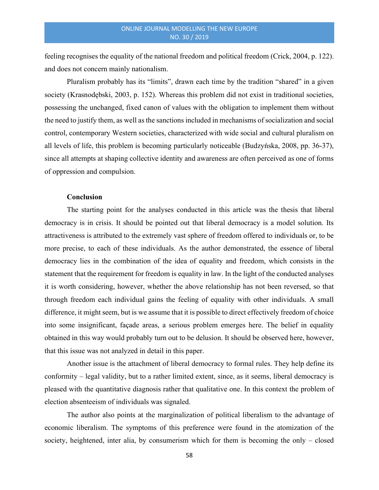feeling recognises the equality of the national freedom and political freedom (Crick, 2004, p. 122). and does not concern mainly nationalism.

Pluralism probably has its "limits", drawn each time by the tradition "shared" in a given society (Krasnodębski, 2003, p. 152). Whereas this problem did not exist in traditional societies, possessing the unchanged, fixed canon of values with the obligation to implement them without the need to justify them, as well as the sanctions included in mechanisms of socialization and social control, contemporary Western societies, characterized with wide social and cultural pluralism on all levels of life, this problem is becoming particularly noticeable (Budzyńska, 2008, pp. 36-37), since all attempts at shaping collective identity and awareness are often perceived as one of forms of oppression and compulsion.

#### **Conclusion**

The starting point for the analyses conducted in this article was the thesis that liberal democracy is in crisis. It should be pointed out that liberal democracy is a model solution. Its attractiveness is attributed to the extremely vast sphere of freedom offered to individuals or, to be more precise, to each of these individuals. As the author demonstrated, the essence of liberal democracy lies in the combination of the idea of equality and freedom, which consists in the statement that the requirement for freedom is equality in law. In the light of the conducted analyses it is worth considering, however, whether the above relationship has not been reversed, so that through freedom each individual gains the feeling of equality with other individuals. A small difference, it might seem, but is we assume that it is possible to direct effectively freedom of choice into some insignificant, façade areas, a serious problem emerges here. The belief in equality obtained in this way would probably turn out to be delusion. It should be observed here, however, that this issue was not analyzed in detail in this paper.

Another issue is the attachment of liberal democracy to formal rules. They help define its conformity – legal validity, but to a rather limited extent, since, as it seems, liberal democracy is pleased with the quantitative diagnosis rather that qualitative one. In this context the problem of election absenteeism of individuals was signaled.

The author also points at the marginalization of political liberalism to the advantage of economic liberalism. The symptoms of this preference were found in the atomization of the society, heightened, inter alia, by consumerism which for them is becoming the only – closed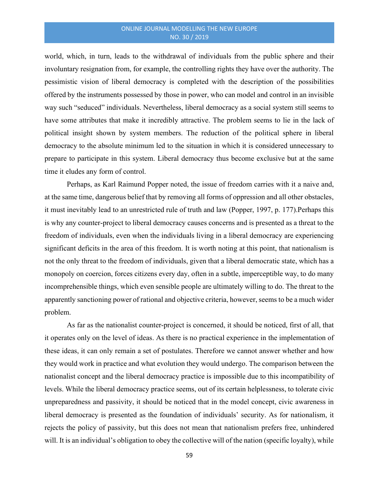world, which, in turn, leads to the withdrawal of individuals from the public sphere and their involuntary resignation from, for example, the controlling rights they have over the authority. The pessimistic vision of liberal democracy is completed with the description of the possibilities offered by the instruments possessed by those in power, who can model and control in an invisible way such "seduced" individuals. Nevertheless, liberal democracy as a social system still seems to have some attributes that make it incredibly attractive. The problem seems to lie in the lack of political insight shown by system members. The reduction of the political sphere in liberal democracy to the absolute minimum led to the situation in which it is considered unnecessary to prepare to participate in this system. Liberal democracy thus become exclusive but at the same time it eludes any form of control.

Perhaps, as Karl Raimund Popper noted, the issue of freedom carries with it a naive and, at the same time, dangerous belief that by removing all forms of oppression and all other obstacles, it must inevitably lead to an unrestricted rule of truth and law (Popper, 1997, p. 177).Perhaps this is why any counter-project to liberal democracy causes concerns and is presented as a threat to the freedom of individuals, even when the individuals living in a liberal democracy are experiencing significant deficits in the area of this freedom. It is worth noting at this point, that nationalism is not the only threat to the freedom of individuals, given that a liberal democratic state, which has a monopoly on coercion, forces citizens every day, often in a subtle, imperceptible way, to do many incomprehensible things, which even sensible people are ultimately willing to do. The threat to the apparently sanctioning power of rational and objective criteria, however, seems to be a much wider problem.

As far as the nationalist counter-project is concerned, it should be noticed, first of all, that it operates only on the level of ideas. As there is no practical experience in the implementation of these ideas, it can only remain a set of postulates. Therefore we cannot answer whether and how they would work in practice and what evolution they would undergo. The comparison between the nationalist concept and the liberal democracy practice is impossible due to this incompatibility of levels. While the liberal democracy practice seems, out of its certain helplessness, to tolerate civic unpreparedness and passivity, it should be noticed that in the model concept, civic awareness in liberal democracy is presented as the foundation of individuals' security. As for nationalism, it rejects the policy of passivity, but this does not mean that nationalism prefers free, unhindered will. It is an individual's obligation to obey the collective will of the nation (specific loyalty), while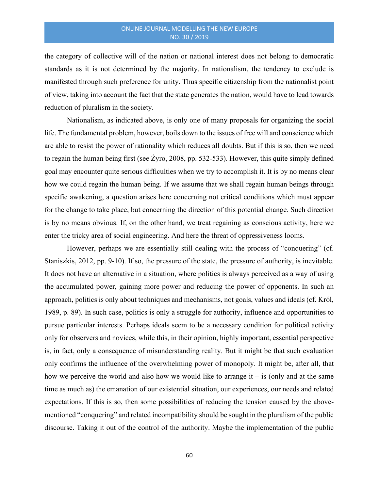the category of collective will of the nation or national interest does not belong to democratic standards as it is not determined by the majority. In nationalism, the tendency to exclude is manifested through such preference for unity. Thus specific citizenship from the nationalist point of view, taking into account the fact that the state generates the nation, would have to lead towards reduction of pluralism in the society.

Nationalism, as indicated above, is only one of many proposals for organizing the social life. The fundamental problem, however, boils down to the issues of free will and conscience which are able to resist the power of rationality which reduces all doubts. But if this is so, then we need to regain the human being first (see Żyro, 2008, pp. 532-533). However, this quite simply defined goal may encounter quite serious difficulties when we try to accomplish it. It is by no means clear how we could regain the human being. If we assume that we shall regain human beings through specific awakening, a question arises here concerning not critical conditions which must appear for the change to take place, but concerning the direction of this potential change. Such direction is by no means obvious. If, on the other hand, we treat regaining as conscious activity, here we enter the tricky area of social engineering. And here the threat of oppressiveness looms.

However, perhaps we are essentially still dealing with the process of "conquering" (cf. Staniszkis, 2012, pp. 9-10). If so, the pressure of the state, the pressure of authority, is inevitable. It does not have an alternative in a situation, where politics is always perceived as a way of using the accumulated power, gaining more power and reducing the power of opponents. In such an approach, politics is only about techniques and mechanisms, not goals, values and ideals (cf. Król, 1989, p. 89). In such case, politics is only a struggle for authority, influence and opportunities to pursue particular interests. Perhaps ideals seem to be a necessary condition for political activity only for observers and novices, while this, in their opinion, highly important, essential perspective is, in fact, only a consequence of misunderstanding reality. But it might be that such evaluation only confirms the influence of the overwhelming power of monopoly. It might be, after all, that how we perceive the world and also how we would like to arrange it  $-$  is (only and at the same time as much as) the emanation of our existential situation, our experiences, our needs and related expectations. If this is so, then some possibilities of reducing the tension caused by the abovementioned "conquering" and related incompatibility should be sought in the pluralism of the public discourse. Taking it out of the control of the authority. Maybe the implementation of the public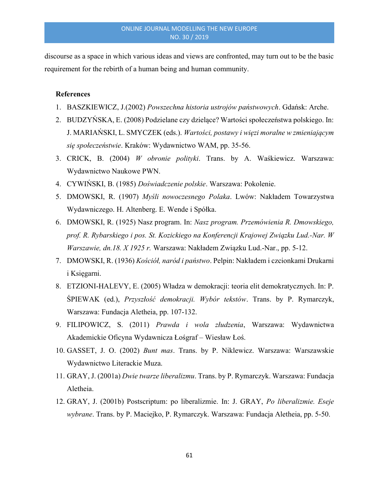discourse as a space in which various ideas and views are confronted, may turn out to be the basic requirement for the rebirth of a human being and human community.

## **References**

- 1. BASZKIEWICZ, J.(2002) Powszechna historia ustrojów państwowych. Gdańsk: Arche.
- 2. BUDZYŃSKA, E. (2008) Podzielane czy dzielące? Wartości społeczeństwa polskiego. In: J. MARIAŃSKI, L. SMYCZEK (eds.). Wartości, postawy i więzi moralne w zmieniającym się społeczeństwie. Kraków: Wydawnictwo WAM, pp. 35-56.
- 3. CRICK, B. (2004) W obronie polityki. Trans. by A. Waśkiewicz. Warszawa: Wydawnictwo Naukowe PWN.
- 4. CYWIŃSKI, B. (1985) Doświadczenie polskie. Warszawa: Pokolenie.
- 5. DMOWSKI, R. (1907) Myśli nowoczesnego Polaka. Lwów: Nakładem Towarzystwa Wydawniczego. H. Altenberg. E. Wende i Spółka.
- 6. DMOWSKI, R. (1925) Nasz program. In: Nasz program. Przemówienia R. Dmowskiego, prof. R. Rybarskiego i pos. St. Kozickiego na Konferencji Krajowej Związku Lud.-Nar. W Warszawie, dn.18. X 1925 r. Warszawa: Nakładem Związku Lud.-Nar., pp. 5-12.
- 7. DMOWSKI, R. (1936) Kościół, naród i państwo. Pelpin: Nakładem i czcionkami Drukarni i Księgarni.
- 8. ETZIONI-HALEVY, E. (2005) Władza w demokracji: teoria elit demokratycznych. In: P. ŚPIEWAK (ed.), Przyszłość demokracji. Wybór tekstów. Trans. by P. Rymarczyk, Warszawa: Fundacja Aletheia, pp. 107-132.
- 9. FILIPOWICZ, S. (2011) Prawda i wola złudzenia, Warszawa: Wydawnictwa Akademickie Oficyna Wydawnicza Łośgraf – Wiesław Łoś.
- 10. GASSET, J. O. (2002) Bunt mas. Trans. by P. Niklewicz. Warszawa: Warszawskie Wydawnictwo Literackie Muza.
- 11. GRAY, J. (2001a) Dwie twarze liberalizmu. Trans. by P. Rymarczyk. Warszawa: Fundacja Aletheia.
- 12. GRAY, J. (2001b) Postscriptum: po liberalizmie. In: J. GRAY, Po liberalizmie. Eseje wybrane. Trans. by P. Maciejko, P. Rymarczyk. Warszawa: Fundacja Aletheia, pp. 5-50.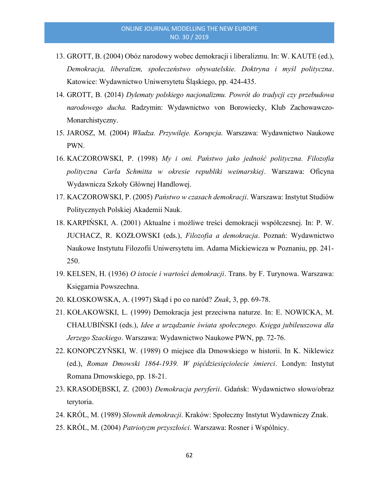- 13. GROTT, B. (2004) Obóz narodowy wobec demokracji i liberalizmu. In: W. KAUTE (ed.), Demokracja, liberalizm, społeczeństwo obywatelskie. Doktryna i myśl polityczna. Katowice: Wydawnictwo Uniwersytetu Śląskiego, pp. 424-435.
- 14. GROTT, B. (2014) Dylematy polskiego nacjonalizmu. Powrót do tradycji czy przebudowa narodowego ducha. Radzymin: Wydawnictwo von Borowiecky, Klub Zachowawczo-Monarchistyczny.
- 15. JAROSZ, M. (2004) Władza. Przywileje. Korupcja. Warszawa: Wydawnictwo Naukowe PWN.
- 16. KACZOROWSKI, P. (1998) My i oni. Państwo jako jedność polityczna. Filozofia polityczna Carla Schmitta w okresie republiki weimarskiej. Warszawa: Oficyna Wydawnicza Szkoły Głównej Handlowej.
- 17. KACZOROWSKI, P. (2005) Państwo w czasach demokracji. Warszawa: Instytut Studiów Politycznych Polskiej Akademii Nauk.
- 18. KARPIŃSKI, A. (2001) Aktualne i możliwe treści demokracji współczesnej. In: P. W. JUCHACZ, R. KOZŁOWSKI (eds.), Filozofia a demokracja. Poznań: Wydawnictwo Naukowe Instytutu Filozofii Uniwersytetu im. Adama Mickiewicza w Poznaniu, pp. 241- 250.
- 19. KELSEN, H. (1936) O istocie i wartości demokracji. Trans. by F. Turynowa. Warszawa: Księgarnia Powszechna.
- 20. KŁOSKOWSKA, A. (1997) Skąd i po co naród? Znak, 3, pp. 69-78.
- 21. KOŁAKOWSKI, L. (1999) Demokracja jest przeciwna naturze. In: E. NOWICKA, M. CHAŁUBIŃSKI (eds.), Idee a urządzanie świata społecznego. Księga jubileuszowa dla Jerzego Szackiego. Warszawa: Wydawnictwo Naukowe PWN, pp. 72-76.
- 22. KONOPCZYŃSKI, W. (1989) O miejsce dla Dmowskiego w historii. In K. Niklewicz (ed.), Roman Dmowski 1864-1939. W pięćdziesięciolecie śmierci. Londyn: Instytut Romana Dmowskiego, pp. 18-21.
- 23. KRASODĘBSKI, Z. (2003) Demokracja peryferii. Gdańsk: Wydawnictwo słowo/obraz terytoria.
- 24. KRÓL, M. (1989) Słownik demokracji. Kraków: Społeczny Instytut Wydawniczy Znak.
- 25. KRÓL, M. (2004) Patriotyzm przyszłości. Warszawa: Rosner i Wspólnicy.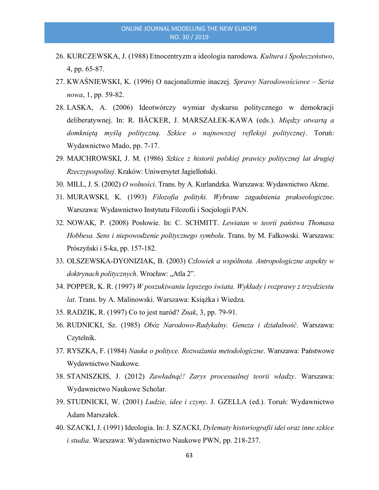- 26. KURCZEWSKA, J. (1988) Etnocentryzm a ideologia narodowa. Kultura i Społeczeństwo, 4, pp. 65-87.
- 27. KWAŚNIEWSKI, K. (1996) O nacjonalizmie inaczej. Sprawy Narodowościowe Seria nowa, 1, pp. 59-82.
- 28. LASKA, A. (2006) Ideotwórczy wymiar dyskursu politycznego w demokracji deliberatywnej. In: R. BÄCKER, J. MARSZAŁEK-KAWA (eds.). Między otwartą a domkniętą myślą polityczną. Szkice o najnowszej refleksji politycznej. Toruń: Wydawnictwo Mado, pp. 7-17.
- 29. MAJCHROWSKI, J. M. (1986) Szkice z historii polskiej prawicy politycznej lat drugiej Rzeczypospolitej. Kraków: Uniwersytet Jagielloński.
- 30. MILL, J. S. (2002) O wolności. Trans. by A. Kurlandzka. Warszawa: Wydawnictwo Akme.
- 31. MURAWSKI, K. (1993) Filozofia polityki. Wybrane zagadnienia prakseologiczne. Warszawa: Wydawnictwo Instytutu Filozofii i Socjologii PAN.
- 32. NOWAK, P. (2008) Posłowie. In: C. SCHMITT. Lewiatan w teorii państwa Thomasa Hobbesa. Sens i niepowodzenie politycznego symbolu. Trans. by M. Falkowski. Warszawa: Prószyński i S-ka, pp. 157-182.
- 33. OLSZEWSKA-DYONIZIAK, B. (2003) Człowiek a wspólnota. Antropologiczne aspekty w doktrynach politycznych. Wrocław: "Atla 2".
- 34. POPPER, K. R. (1997) W poszukiwaniu lepszego świata. Wykłady i rozprawy z trzydziestu lat. Trans. by A. Malinowski. Warszawa: Książka i Wiedza.
- 35. RADZIK, R. (1997) Co to jest naród? Znak, 3, pp. 79-91.
- 36. RUDNICKI, Sz. (1985) Obóz Narodowo-Radykalny. Geneza i działalność. Warszawa: Czytelnik.
- 37. RYSZKA, F. (1984) Nauka o polityce. Rozważania metodologiczne. Warszawa: Państwowe Wydawnictwo Naukowe.
- 38. STANISZKIS, J. (2012) Zawładnąć! Zarys procesualnej teorii władzy. Warszawa: Wydawnictwo Naukowe Scholar.
- 39. STUDNICKI, W. (2001) Ludzie, idee i czyny. J. GZELLA (ed.). Toruń: Wydawnictwo Adam Marszałek.
- 40. SZACKI, J. (1991) Ideologia. In: J. SZACKI, Dylematy historiografii idei oraz inne szkice i studia. Warszawa: Wydawnictwo Naukowe PWN, pp. 218-237.